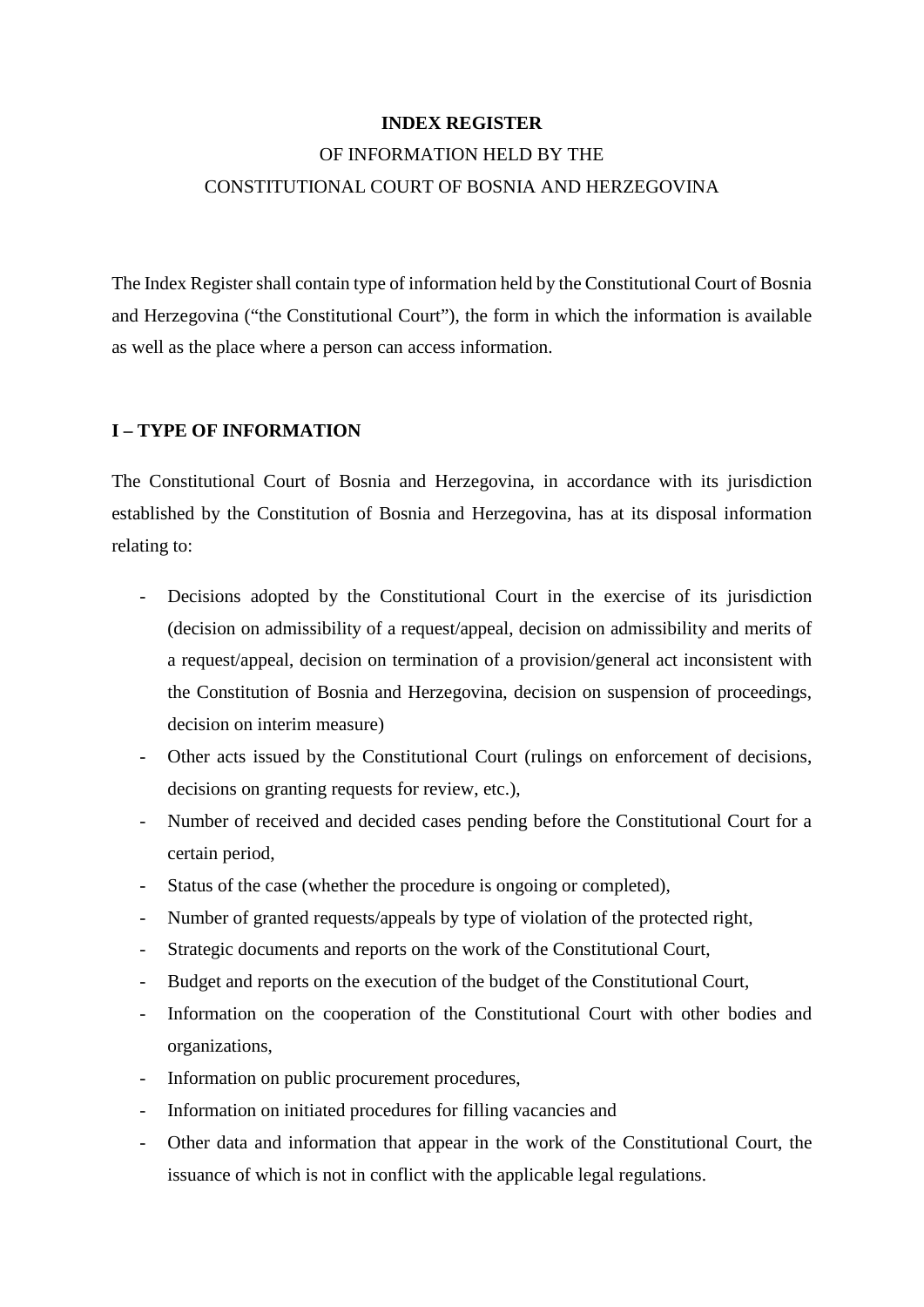#### **INDEX REGISTER**

# OF INFORMATION HELD BY THE CONSTITUTIONAL COURT OF BOSNIA AND HERZEGOVINA

The Index Register shall contain type of information held by the Constitutional Court of Bosnia and Herzegovina ("the Constitutional Court"), the form in which the information is available as well as the place where a person can access information.

#### **I – TYPE OF INFORMATION**

The Constitutional Court of Bosnia and Herzegovina, in accordance with its jurisdiction established by the Constitution of Bosnia and Herzegovina, has at its disposal information relating to:

- Decisions adopted by the Constitutional Court in the exercise of its jurisdiction (decision on admissibility of a request/appeal, decision on admissibility and merits of a request/appeal, decision on termination of a provision/general act inconsistent with the Constitution of Bosnia and Herzegovina, decision on suspension of proceedings, decision on interim measure)
- Other acts issued by the Constitutional Court (rulings on enforcement of decisions, decisions on granting requests for review, etc.),
- Number of received and decided cases pending before the Constitutional Court for a certain period,
- Status of the case (whether the procedure is ongoing or completed),
- Number of granted requests/appeals by type of violation of the protected right,
- Strategic documents and reports on the work of the Constitutional Court,
- Budget and reports on the execution of the budget of the Constitutional Court,
- Information on the cooperation of the Constitutional Court with other bodies and organizations,
- Information on public procurement procedures,
- Information on initiated procedures for filling vacancies and
- Other data and information that appear in the work of the Constitutional Court, the issuance of which is not in conflict with the applicable legal regulations.